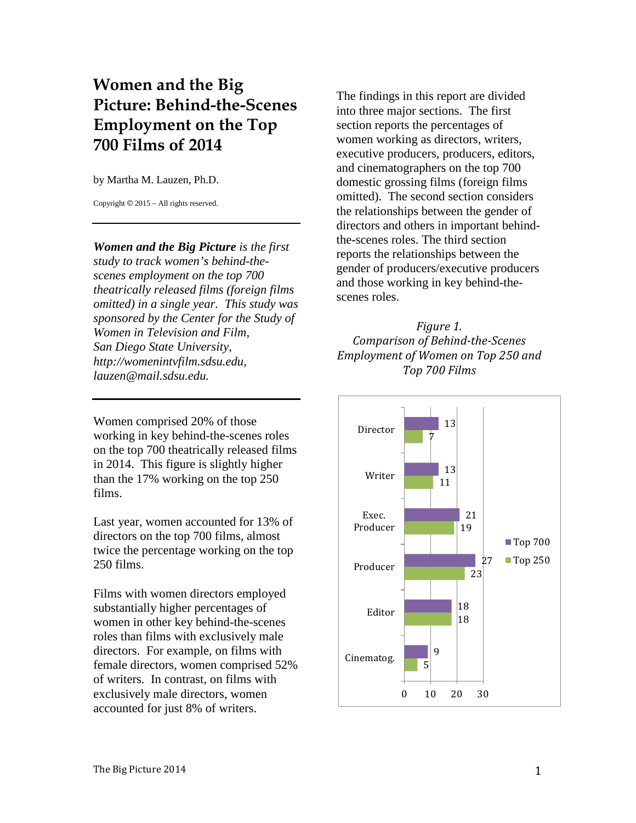# **Women and the Big Picture: Behind-the-Scenes Employment on the Top 700 Films of 2014**

by Martha M. Lauzen, Ph.D.

Copyright © 2015 – All rights reserved.

*Women and the Big Picture is the first study to track women's behind-thescenes employment on the top 700 theatrically released films (foreign films omitted) in a single year. This study was sponsored by the Center for the Study of Women in Television and Film, San Diego State University, http://womenintvfilm.sdsu.edu, lauzen@mail.sdsu.edu.*

Women comprised 20% of those working in key behind-the-scenes roles on the top 700 theatrically released films in 2014. This figure is slightly higher than the 17% working on the top 250 films.

Last year, women accounted for 13% of directors on the top 700 films, almost twice the percentage working on the top 250 films.

Films with women directors employed substantially higher percentages of women in other key behind-the-scenes roles than films with exclusively male directors. For example, on films with female directors, women comprised 52% of writers. In contrast, on films with exclusively male directors, women accounted for just 8% of writers.

The findings in this report are divided into three major sections. The first section reports the percentages of women working as directors, writers, executive producers, producers, editors, and cinematographers on the top 700 domestic grossing films (foreign films omitted). The second section considers the relationships between the gender of directors and others in important behindthe-scenes roles. The third section reports the relationships between the gender of producers/executive producers and those working in key behind-thescenes roles.

*Figure 1. Comparison of Behind-the-Scenes Employment of Women on Top 250 and Top 700 Films*

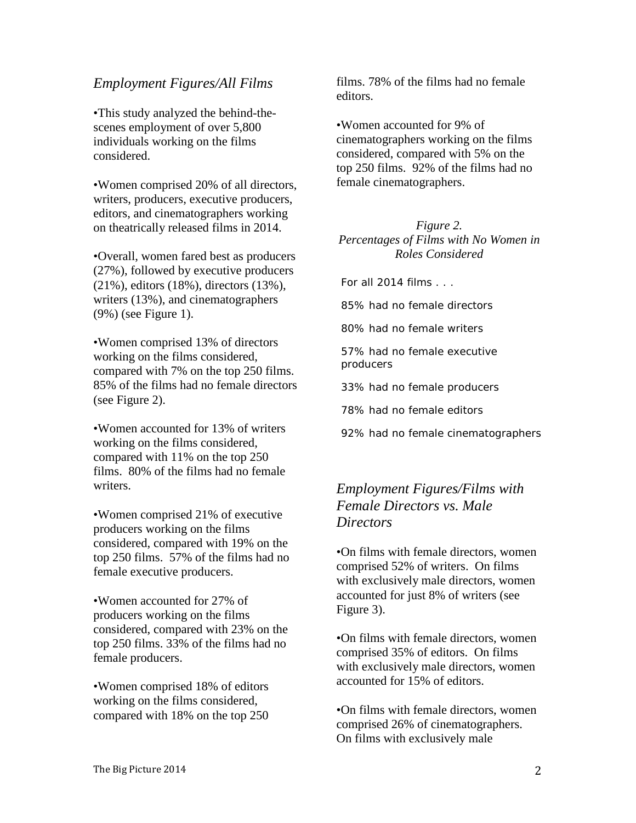### *Employment Figures/All Films*

•This study analyzed the behind-thescenes employment of over 5,800 individuals working on the films considered.

•Women comprised 20% of all directors, writers, producers, executive producers, editors, and cinematographers working on theatrically released films in 2014.

•Overall, women fared best as producers (27%), followed by executive producers (21%), editors (18%), directors (13%), writers (13%), and cinematographers (9%) (see Figure 1).

•Women comprised 13% of directors working on the films considered, compared with 7% on the top 250 films. 85% of the films had no female directors (see Figure 2).

•Women accounted for 13% of writers working on the films considered, compared with 11% on the top 250 films. 80% of the films had no female writers.

•Women comprised 21% of executive producers working on the films considered, compared with 19% on the top 250 films. 57% of the films had no female executive producers.

•Women accounted for 27% of producers working on the films considered, compared with 23% on the top 250 films. 33% of the films had no female producers.

•Women comprised 18% of editors working on the films considered, compared with 18% on the top 250

films. 78% of the films had no female editors.

•Women accounted for 9% of cinematographers working on the films considered, compared with 5% on the top 250 films. 92% of the films had no female cinematographers.

#### *Figure 2. Percentages of Films with No Women in Roles Considered*

For all  $2014$  films  $\ldots$ 

85% had no female directors

80% had no female writers

57% had no female executive producers

33% had no female producers

78% had no female editors

92% had no female cinematographers

## *Employment Figures/Films with Female Directors vs. Male Directors*

•On films with female directors, women comprised 52% of writers. On films with exclusively male directors, women accounted for just 8% of writers (see Figure 3).

•On films with female directors, women comprised 35% of editors. On films with exclusively male directors, women accounted for 15% of editors.

•On films with female directors, women comprised 26% of cinematographers. On films with exclusively male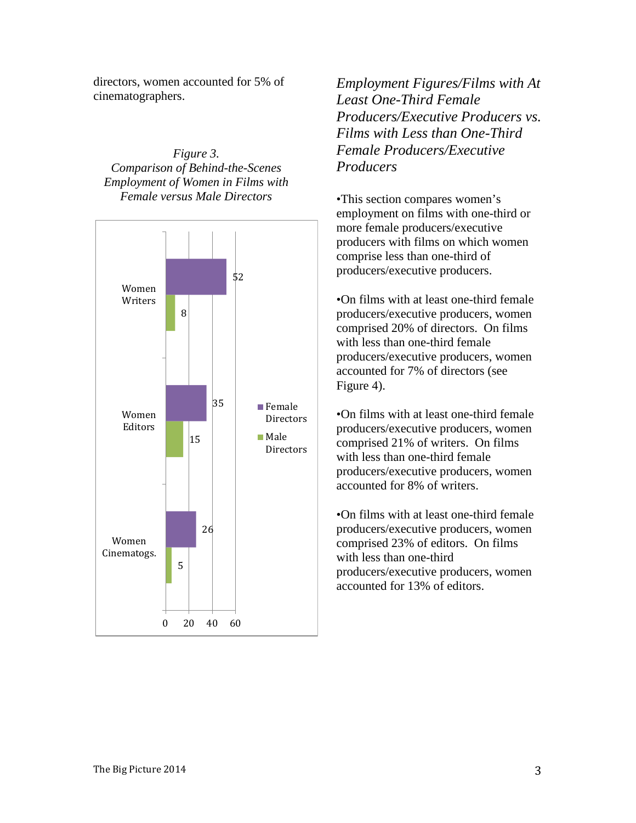directors, women accounted for 5% of cinematographers.

*Figure 3. Comparison of Behind-the-Scenes Employment of Women in Films with Female versus Male Directors*



*Employment Figures/Films with At Least One-Third Female Producers/Executive Producers vs. Films with Less than One-Third Female Producers/Executive Producers*

•This section compares women's employment on films with one-third or more female producers/executive producers with films on which women comprise less than one-third of producers/executive producers.

•On films with at least one-third female producers/executive producers, women comprised 20% of directors. On films with less than one-third female producers/executive producers, women accounted for 7% of directors (see Figure 4).

•On films with at least one-third female producers/executive producers, women comprised 21% of writers. On films with less than one-third female producers/executive producers, women accounted for 8% of writers.

•On films with at least one-third female producers/executive producers, women comprised 23% of editors. On films with less than one-third producers/executive producers, women accounted for 13% of editors.